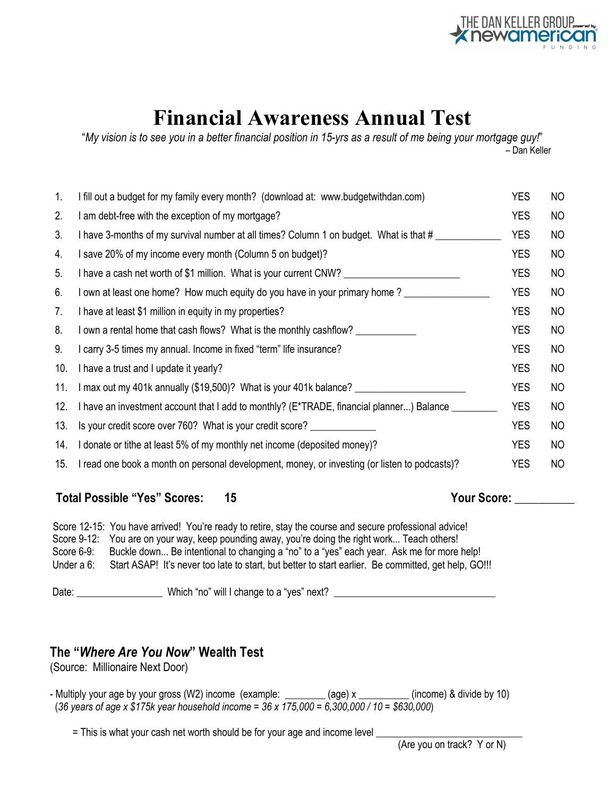

# **Financial Awareness Annual Test**

"*My vision is to see you in a better financial position in 15-yrs as a result of me being your mortgage guy!*" – Dan Keller

| 1.  | I fill out a budget for my family every month? (download at: www.budgetwithdan.com)           | <b>YES</b> | NO             |
|-----|-----------------------------------------------------------------------------------------------|------------|----------------|
| 2.  | I am debt-free with the exception of my mortgage?                                             | <b>YES</b> | N <sub>O</sub> |
| 3.  | I have 3-months of my survival number at all times? Column 1 on budget. What is that #        | <b>YES</b> | N <sub>O</sub> |
| 4.  | I save 20% of my income every month (Column 5 on budget)?                                     | <b>YES</b> | NO             |
| 5.  | I have a cash net worth of \$1 million. What is your current CNW? ________________            | <b>YES</b> | NO             |
| 6.  | I own at least one home? How much equity do you have in your primary home?                    | <b>YES</b> | NO             |
| 7.  | I have at least \$1 million in equity in my properties?                                       | <b>YES</b> | NO.            |
| 8.  | I own a rental home that cash flows? What is the monthly cashflow?                            | <b>YES</b> | NO             |
| 9.  | I carry 3-5 times my annual. Income in fixed "term" life insurance?                           | <b>YES</b> | NO             |
| 10. | I have a trust and I update it yearly?                                                        | <b>YES</b> | N <sub>O</sub> |
| 11. | I max out my 401k annually (\$19,500)? What is your 401k balance?                             | <b>YES</b> | NO             |
| 12. | I have an investment account that I add to monthly? (E*TRADE, financial planner) Balance      | <b>YES</b> | NO.            |
| 13. | Is your credit score over 760? What is your credit score?                                     | <b>YES</b> | N <sub>O</sub> |
| 14. | I donate or tithe at least 5% of my monthly net income (deposited money)?                     | <b>YES</b> | NO             |
| 15. | I read one book a month on personal development, money, or investing (or listen to podcasts)? | <b>YES</b> | NO             |
|     |                                                                                               |            |                |

Total Possible "Yes" Scores: 15 Your Score: 2012 Nour Score:

Score 12-15: You have arrived! You're ready to retire, stay the course and secure professional advice! Score 9-12: You are on your way, keep pounding away, you're doing the right work... Teach others! Score 6-9: Buckle down... Be intentional to changing a "no" to a "yes" each year. Ask me for more help! Under a 6: Start ASAP! It's never too late to start, but better to start earlier. Be committed, get help, GO!!!

Date: \_\_\_\_\_\_\_\_\_\_\_\_\_\_\_\_\_\_\_\_\_\_\_\_ Which "no" will I change to a "yes" next? \_\_\_\_\_\_\_\_\_\_\_\_\_\_\_\_\_\_\_\_\_\_\_\_\_\_\_

### **The "***Where Are You Now***" Wealth Test**

(Source: Millionaire Next Door)

- Multiply your age by your gross (W2) income (example:  $\frac{1}{2}$  (age) x  $\frac{1}{2}$  (income) & divide by 10) (*36 years of age x \$175k year household income = 36 x 175,000 = 6,300,000 / 10 = \$630,000*)

= This is what your cash net worth should be for your age and income level \_\_\_\_\_\_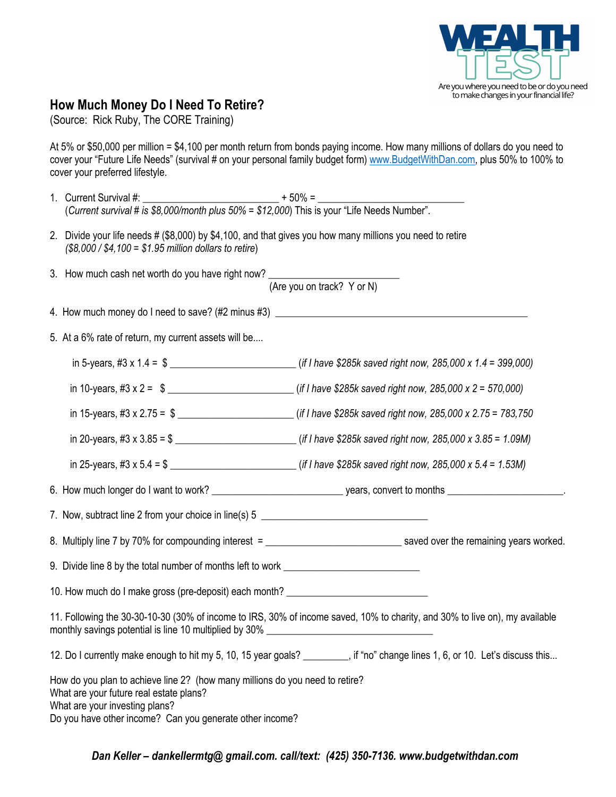

#### **How Much Money Do I Need To Retire?**

(Source: Rick Ruby, The CORE Training)

At 5% or \$50,000 per million = \$4,100 per month return from bonds paying income. How many millions of dollars do you need to cover your "Future Life Needs" (survival # on your personal family budget form) www.BudgetWithDan.com, plus 50% to 100% to cover your preferred lifestyle.

- 1. Current Survival #:  $+50\% =$ (*Current survival # is \$8,000/month plus 50% = \$12,000*) This is your "Life Needs Number".
- 2. Divide your life needs # (\$8,000) by \$4,100, and that gives you how many millions you need to retire *(\$8,000 / \$4,100 = \$1.95 million dollars to retire*)
- 3. How much cash net worth do you have right now?

(Are you on track? Y or N)

- 4. How much money do I need to save? (#2 minus #3) \_\_\_\_\_\_\_\_\_\_\_\_\_\_\_\_\_\_\_\_\_\_\_\_\_\_\_\_\_
- 5. At a 6% rate of return, my current assets will be....

| in 10-years, #3 x 2 = $\frac{1}{2}$ = $\frac{1}{2}$ = $\frac{1}{2}$ = 570,000)                                                                                                                                  |  |  |  |  |  |  |
|-----------------------------------------------------------------------------------------------------------------------------------------------------------------------------------------------------------------|--|--|--|--|--|--|
| in 15-years, #3 x 2.75 = $\frac{1}{2}$ = $\frac{1}{2}$ = $\frac{1}{2}$ = $\frac{1}{2}$ = 783,750                                                                                                                |  |  |  |  |  |  |
| in 20-years, #3 x 3.85 = \$ __________________________(if I have \$285k saved right now, 285,000 x 3.85 = 1.09M)                                                                                                |  |  |  |  |  |  |
|                                                                                                                                                                                                                 |  |  |  |  |  |  |
|                                                                                                                                                                                                                 |  |  |  |  |  |  |
| 7. Now, subtract line 2 from your choice in line(s) 5 __________________________                                                                                                                                |  |  |  |  |  |  |
|                                                                                                                                                                                                                 |  |  |  |  |  |  |
| 9. Divide line 8 by the total number of months left to work ____________________                                                                                                                                |  |  |  |  |  |  |
| 10. How much do I make gross (pre-deposit) each month? _________________________                                                                                                                                |  |  |  |  |  |  |
| 11. Following the 30-30-10-30 (30% of income to IRS, 30% of income saved, 10% to charity, and 30% to live on), my available<br>monthly savings potential is line 10 multiplied by 30% _________________________ |  |  |  |  |  |  |
| 12. Do I currently make enough to hit my 5, 10, 15 year goals? ______, if "no" change lines 1, 6, or 10. Let's discuss this                                                                                     |  |  |  |  |  |  |
| How do you plan to achieve line 2? (how many millions do you need to retire?<br>What are your future real estate plans?<br>What are your investing plans?                                                       |  |  |  |  |  |  |
| Do you have other income? Can you generate other income?                                                                                                                                                        |  |  |  |  |  |  |